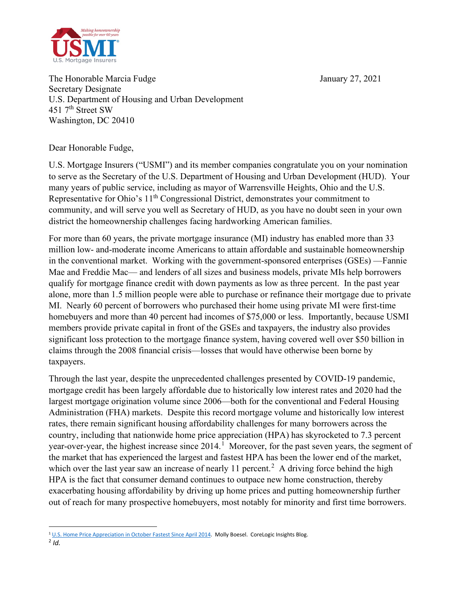

The Honorable Marcia Fudge The Honorable Marcia Fudge January 27, 2021 Secretary Designate U.S. Department of Housing and Urban Development 451 7<sup>th</sup> Street SW Washington, DC 20410

Dear Honorable Fudge,

U.S. Mortgage Insurers ("USMI") and its member companies congratulate you on your nomination to serve as the Secretary of the U.S. Department of Housing and Urban Development (HUD). Your many years of public service, including as mayor of Warrensville Heights, Ohio and the U.S. Representative for Ohio's  $11<sup>th</sup>$  Congressional District, demonstrates your commitment to community, and will serve you well as Secretary of HUD, as you have no doubt seen in your own district the homeownership challenges facing hardworking American families.

For more than 60 years, the private mortgage insurance (MI) industry has enabled more than 33 million low- and-moderate income Americans to attain affordable and sustainable homeownership in the conventional market. Working with the government-sponsored enterprises (GSEs) —Fannie Mae and Freddie Mac— and lenders of all sizes and business models, private MIs help borrowers qualify for mortgage finance credit with down payments as low as three percent. In the past year alone, more than 1.5 million people were able to purchase or refinance their mortgage due to private MI. Nearly 60 percent of borrowers who purchased their home using private MI were first-time homebuyers and more than 40 percent had incomes of \$75,000 or less. Importantly, because USMI members provide private capital in front of the GSEs and taxpayers, the industry also provides significant loss protection to the mortgage finance system, having covered well over \$50 billion in claims through the 2008 financial crisis—losses that would have otherwise been borne by taxpayers.

Through the last year, despite the unprecedented challenges presented by COVID-19 pandemic, mortgage credit has been largely affordable due to historically low interest rates and 2020 had the largest mortgage origination volume since 2006—both for the conventional and Federal Housing Administration (FHA) markets. Despite this record mortgage volume and historically low interest rates, there remain significant housing affordability challenges for many borrowers across the country, including that nationwide home price appreciation (HPA) has skyrocketed to 7.3 percent year-over-year, the highest increase since  $2014$  $2014$  $2014$ .<sup>1</sup> Moreover, for the past seven years, the segment of the market that has experienced the largest and fastest HPA has been the lower end of the market, which over the last year saw an increase of nearly 11 percent.<sup>[2](#page-0-1)</sup> A driving force behind the high HPA is the fact that consumer demand continues to outpace new home construction, thereby exacerbating housing affordability by driving up home prices and putting homeownership further out of reach for many prospective homebuyers, most notably for minority and first time borrowers.

<sup>&</sup>lt;sup>1</sup> [U.S. Home Price Appreciation in October Fastest Since April 2014.](https://www.corelogic.com/blog/2020/12/annual-u.s.-home-price-appreciation-in-october-fastest-since-april-2014.aspx#:%7E:text=to%20October%202021.-,National%20home%20prices%20increased%207.3%25%20year%20over%20year%20in%20October,year%20gain%20since%20April%202014.) Molly Boesel. CoreLogic Insights Blog.

<span id="page-0-1"></span><span id="page-0-0"></span> $\overline{2}$  *Id.*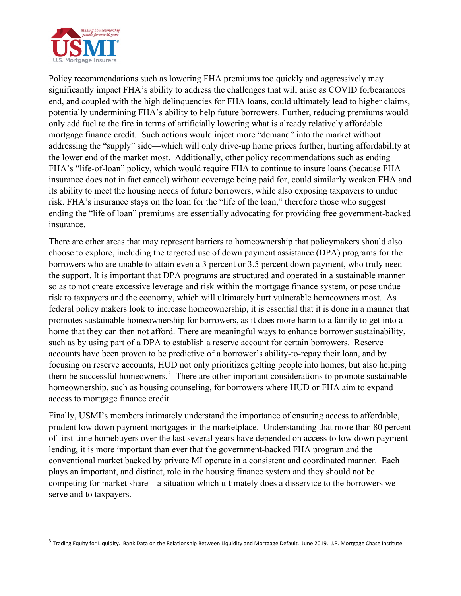

Policy recommendations such as lowering FHA premiums too quickly and aggressively may significantly impact FHA's ability to address the challenges that will arise as COVID forbearances end, and coupled with the high delinquencies for FHA loans, could ultimately lead to higher claims, potentially undermining FHA's ability to help future borrowers. Further, reducing premiums would only add fuel to the fire in terms of artificially lowering what is already relatively affordable mortgage finance credit. Such actions would inject more "demand" into the market without addressing the "supply" side—which will only drive-up home prices further, hurting affordability at the lower end of the market most. Additionally, other policy recommendations such as ending FHA's "life-of-loan" policy, which would require FHA to continue to insure loans (because FHA insurance does not in fact cancel) without coverage being paid for, could similarly weaken FHA and its ability to meet the housing needs of future borrowers, while also exposing taxpayers to undue risk. FHA's insurance stays on the loan for the "life of the loan," therefore those who suggest ending the "life of loan" premiums are essentially advocating for providing free government-backed insurance.

There are other areas that may represent barriers to homeownership that policymakers should also choose to explore, including the targeted use of down payment assistance (DPA) programs for the borrowers who are unable to attain even a 3 percent or 3.5 percent down payment, who truly need the support. It is important that DPA programs are structured and operated in a sustainable manner so as to not create excessive leverage and risk within the mortgage finance system, or pose undue risk to taxpayers and the economy, which will ultimately hurt vulnerable homeowners most. As federal policy makers look to increase homeownership, it is essential that it is done in a manner that promotes sustainable homeownership for borrowers, as it does more harm to a family to get into a home that they can then not afford. There are meaningful ways to enhance borrower sustainability, such as by using part of a DPA to establish a reserve account for certain borrowers. Reserve accounts have been proven to be predictive of a borrower's ability-to-repay their loan, and by focusing on reserve accounts, HUD not only prioritizes getting people into homes, but also helping them be successful homeowners.<sup>[3](#page-1-0)</sup> There are other important considerations to promote sustainable homeownership, such as housing counseling, for borrowers where HUD or FHA aim to expand access to mortgage finance credit.

Finally, USMI's members intimately understand the importance of ensuring access to affordable, prudent low down payment mortgages in the marketplace. Understanding that more than 80 percent of first-time homebuyers over the last several years have depended on access to low down payment lending, it is more important than ever that the government-backed FHA program and the conventional market backed by private MI operate in a consistent and coordinated manner. Each plays an important, and distinct, role in the housing finance system and they should not be competing for market share—a situation which ultimately does a disservice to the borrowers we serve and to taxpayers.

<span id="page-1-0"></span><sup>&</sup>lt;sup>3</sup> Trading Equity for Liquidity. Bank Data on the Relationship Between Liquidity and Mortgage Default. June 2019. J.P. Mortgage Chase Institute.